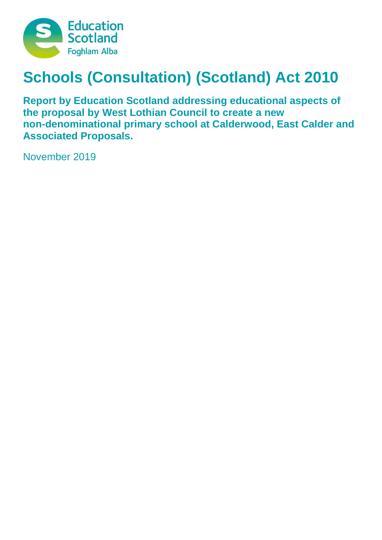

# **Schools (Consultation) (Scotland) Act 2010**

**Report by Education Scotland addressing educational aspects of the proposal by West Lothian Council to create a new non-denominational primary school at Calderwood, East Calder and Associated Proposals.**

November 2019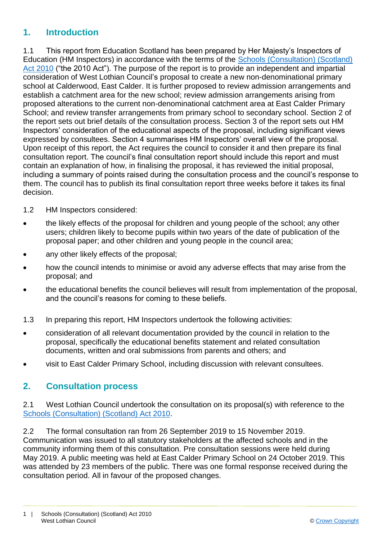### **1. Introduction**

1.1 This report from Education Scotland has been prepared by Her Majesty's Inspectors of Education (HM Inspectors) in accordance with the terms of the [Schools \(Consultation\) \(Scotland\)](https://www.google.co.uk/url?sa=t&rct=j&q=&esrc=s&source=web&cd=1&cad=rja&uact=8&ved=2ahUKEwj9-7GYkvLeAhXOasAKHT9vCtMQFjAAegQICRAB&url=https%3A%2F%2Fwww.legislation.gov.uk%2Fasp%2F2010%2F2%2Fcontents&usg=AOvVaw2lRwXOuXBCn_fz2wA9W6o2)  [Act 2010](https://www.google.co.uk/url?sa=t&rct=j&q=&esrc=s&source=web&cd=1&cad=rja&uact=8&ved=2ahUKEwj9-7GYkvLeAhXOasAKHT9vCtMQFjAAegQICRAB&url=https%3A%2F%2Fwww.legislation.gov.uk%2Fasp%2F2010%2F2%2Fcontents&usg=AOvVaw2lRwXOuXBCn_fz2wA9W6o2) ("the 2010 Act"). The purpose of the report is to provide an independent and impartial consideration of West Lothian Council's proposal to create a new non-denominational primary school at Calderwood, East Calder. It is further proposed to review admission arrangements and establish a catchment area for the new school; review admission arrangements arising from proposed alterations to the current non-denominational catchment area at East Calder Primary School; and review transfer arrangements from primary school to secondary school. Section 2 of the report sets out brief details of the consultation process. Section 3 of the report sets out HM Inspectors' consideration of the educational aspects of the proposal, including significant views expressed by consultees. Section 4 summarises HM Inspectors' overall view of the proposal. Upon receipt of this report, the Act requires the council to consider it and then prepare its final consultation report. The council's final consultation report should include this report and must contain an explanation of how, in finalising the proposal, it has reviewed the initial proposal, including a summary of points raised during the consultation process and the council's response to them. The council has to publish its final consultation report three weeks before it takes its final decision.

- 1.2 HM Inspectors considered:
- the likely effects of the proposal for children and young people of the school; any other users; children likely to become pupils within two years of the date of publication of the proposal paper; and other children and young people in the council area;
- any other likely effects of the proposal;
- how the council intends to minimise or avoid any adverse effects that may arise from the proposal; and
- the educational benefits the council believes will result from implementation of the proposal, and the council's reasons for coming to these beliefs.
- 1.3 In preparing this report, HM Inspectors undertook the following activities:
- consideration of all relevant documentation provided by the council in relation to the proposal, specifically the educational benefits statement and related consultation documents, written and oral submissions from parents and others; and
- visit to East Calder Primary School, including discussion with relevant consultees.

### **2. Consultation process**

2.1 West Lothian Council undertook the consultation on its proposal(s) with reference to the [Schools \(Consultation\) \(Scotland\) Act 2010.](https://www.google.co.uk/url?sa=t&rct=j&q=&esrc=s&source=web&cd=1&cad=rja&uact=8&ved=2ahUKEwj9-7GYkvLeAhXOasAKHT9vCtMQFjAAegQICRAB&url=https%3A%2F%2Fwww.legislation.gov.uk%2Fasp%2F2010%2F2%2Fcontents&usg=AOvVaw2lRwXOuXBCn_fz2wA9W6o2)

2.2 The formal consultation ran from 26 September 2019 to 15 November 2019. Communication was issued to all statutory stakeholders at the affected schools and in the community informing them of this consultation. Pre consultation sessions were held during May 2019. A public meeting was held at East Calder Primary School on 24 October 2019. This was attended by 23 members of the public. There was one formal response received during the consultation period. All in favour of the proposed changes.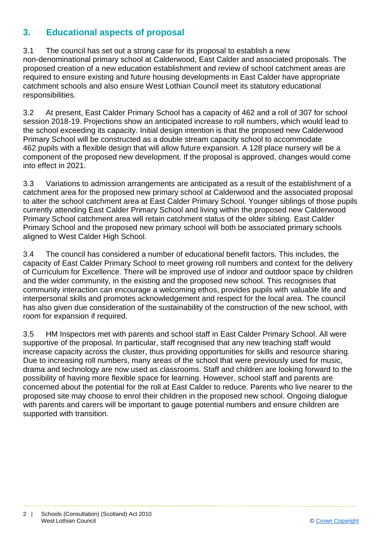## **3. Educational aspects of proposal**

3.1 The council has set out a strong case for its proposal to establish a new non-denominational primary school at Calderwood, East Calder and associated proposals. The proposed creation of a new education establishment and review of school catchment areas are required to ensure existing and future housing developments in East Calder have appropriate catchment schools and also ensure West Lothian Council meet its statutory educational responsibilities.

3.2 At present, East Calder Primary School has a capacity of 462 and a roll of 307 for school session 2018-19. Projections show an anticipated increase to roll numbers, which would lead to the school exceeding its capacity. Initial design intention is that the proposed new Calderwood Primary School will be constructed as a double stream capacity school to accommodate 462 pupils with a flexible design that will allow future expansion. A 128 place nursery will be a component of the proposed new development. If the proposal is approved, changes would come into effect in 2021.

3.3 Variations to admission arrangements are anticipated as a result of the establishment of a catchment area for the proposed new primary school at Calderwood and the associated proposal to alter the school catchment area at East Calder Primary School. Younger siblings of those pupils currently attending East Calder Primary School and living within the proposed new Calderwood Primary School catchment area will retain catchment status of the older sibling. East Calder Primary School and the proposed new primary school will both be associated primary schools aligned to West Calder High School.

3.4 The council has considered a number of educational benefit factors. This includes, the capacity of East Calder Primary School to meet growing roll numbers and context for the delivery of Curriculum for Excellence. There will be improved use of indoor and outdoor space by children and the wider community, in the existing and the proposed new school. This recognises that community interaction can encourage a welcoming ethos, provides pupils with valuable life and interpersonal skills and promotes acknowledgement and respect for the local area. The council has also given due consideration of the sustainability of the construction of the new school, with room for expansion if required.

3.5 HM Inspectors met with parents and school staff in East Calder Primary School. All were supportive of the proposal. In particular, staff recognised that any new teaching staff would increase capacity across the cluster, thus providing opportunities for skills and resource sharing. Due to increasing roll numbers, many areas of the school that were previously used for music, drama and technology are now used as classrooms. Staff and children are looking forward to the possibility of having more flexible space for learning. However, school staff and parents are concerned about the potential for the roll at East Calder to reduce. Parents who live nearer to the proposed site may choose to enrol their children in the proposed new school. Ongoing dialogue with parents and carers will be important to gauge potential numbers and ensure children are supported with transition.